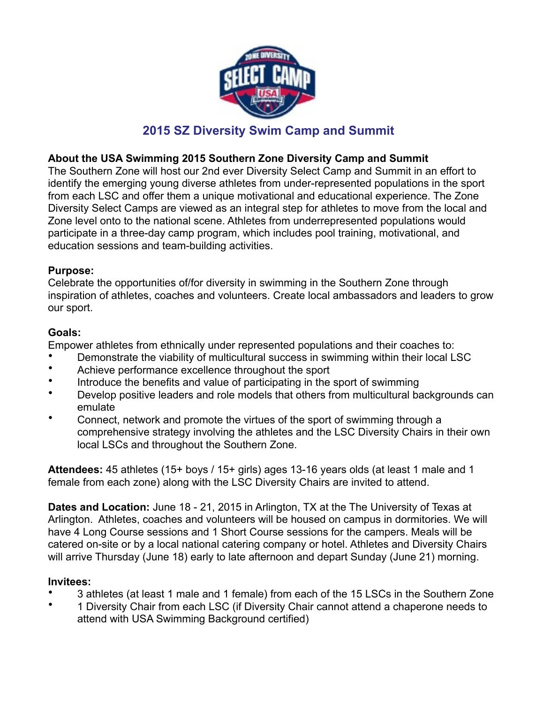

# **2015 SZ Diversity Swim Camp and Summit**

## **About the USA Swimming 2015 Southern Zone Diversity Camp and Summit**

The Southern Zone will host our 2nd ever Diversity Select Camp and Summit in an effort to identify the emerging young diverse athletes from under-represented populations in the sport from each LSC and offer them a unique motivational and educational experience. The Zone Diversity Select Camps are viewed as an integral step for athletes to move from the local and Zone level onto to the national scene. Athletes from underrepresented populations would participate in a three-day camp program, which includes pool training, motivational, and education sessions and team-building activities.

## **Purpose:**

Celebrate the opportunities of/for diversity in swimming in the Southern Zone through inspiration of athletes, coaches and volunteers. Create local ambassadors and leaders to grow our sport.

## **Goals:**

Empower athletes from ethnically under represented populations and their coaches to:

- Demonstrate the viability of multicultural success in swimming within their local LSC
- Achieve performance excellence throughout the sport
- Introduce the benefits and value of participating in the sport of swimming
- Develop positive leaders and role models that others from multicultural backgrounds can emulate
- Connect, network and promote the virtues of the sport of swimming through a comprehensive strategy involving the athletes and the LSC Diversity Chairs in their own local LSCs and throughout the Southern Zone.

**Attendees:** 45 athletes (15+ boys / 15+ girls) ages 13-16 years olds (at least 1 male and 1 female from each zone) along with the LSC Diversity Chairs are invited to attend.

**Dates and Location:** June 18 - 21, 2015 in Arlington, TX at the The University of Texas at Arlington. Athletes, coaches and volunteers will be housed on campus in dormitories. We will have 4 Long Course sessions and 1 Short Course sessions for the campers. Meals will be catered on-site or by a local national catering company or hotel. Athletes and Diversity Chairs will arrive Thursday (June 18) early to late afternoon and depart Sunday (June 21) morning.

#### **Invitees:**

- 3 athletes (at least 1 male and 1 female) from each of the 15 LSCs in the Southern Zone
- 1 Diversity Chair from each LSC (if Diversity Chair cannot attend a chaperone needs to attend with USA Swimming Background certified)